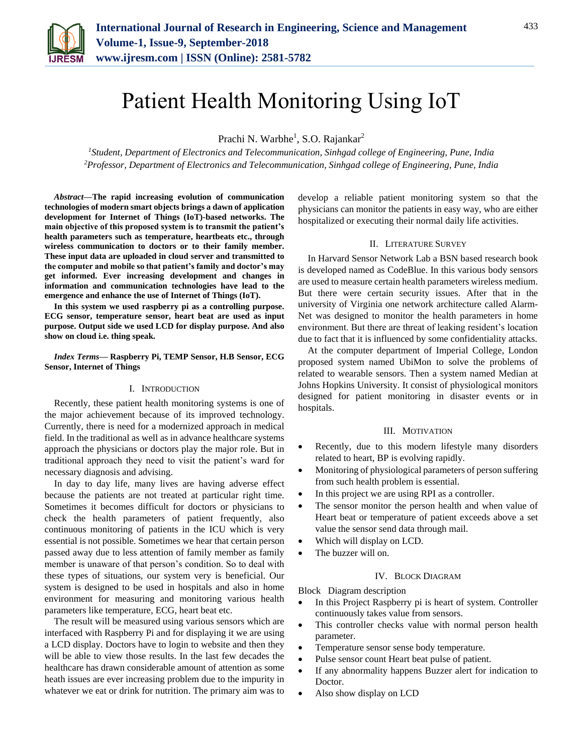

# Patient Health Monitoring Using IoT

Prachi N. Warbhe<sup>1</sup>, S.O. Rajankar<sup>2</sup>

*<sup>1</sup>Student, Department of Electronics and Telecommunication, Sinhgad college of Engineering, Pune, India 2Professor, Department of Electronics and Telecommunication, Sinhgad college of Engineering, Pune, India*

*Abstract***—The rapid increasing evolution of communication technologies of modern smart objects brings a dawn of application development for Internet of Things (IoT)-based networks. The main objective of this proposed system is to transmit the patient's health parameters such as temperature, heartbeats etc., through wireless communication to doctors or to their family member. These input data are uploaded in cloud server and transmitted to the computer and mobile so that patient's family and doctor's may get informed. Ever increasing development and changes in information and communication technologies have lead to the emergence and enhance the use of Internet of Things (IoT).**

**In this system we used raspberry pi as a controlling purpose. ECG sensor, temperature sensor, heart beat are used as input purpose. Output side we used LCD for display purpose. And also show on cloud i.e. thing speak.**

#### *Index Terms***— Raspberry Pi, TEMP Sensor, H.B Sensor, ECG Sensor, Internet of Things**

### I. INTRODUCTION

Recently, these patient health monitoring systems is one of the major achievement because of its improved technology. Currently, there is need for a modernized approach in medical field. In the traditional as well as in advance healthcare systems approach the physicians or doctors play the major role. But in traditional approach they need to visit the patient's ward for necessary diagnosis and advising.

In day to day life, many lives are having adverse effect because the patients are not treated at particular right time. Sometimes it becomes difficult for doctors or physicians to check the health parameters of patient frequently, also continuous monitoring of patients in the ICU which is very essential is not possible. Sometimes we hear that certain person passed away due to less attention of family member as family member is unaware of that person's condition. So to deal with these types of situations, our system very is beneficial. Our system is designed to be used in hospitals and also in home environment for measuring and monitoring various health parameters like temperature, ECG, heart beat etc.

The result will be measured using various sensors which are interfaced with Raspberry Pi and for displaying it we are using a LCD display. Doctors have to login to website and then they will be able to view those results. In the last few decades the healthcare has drawn considerable amount of attention as some heath issues are ever increasing problem due to the impurity in whatever we eat or drink for nutrition. The primary aim was to

develop a reliable patient monitoring system so that the physicians can monitor the patients in easy way, who are either hospitalized or executing their normal daily life activities.

#### II. LITERATURE SURVEY

In Harvard Sensor Network Lab a BSN based research book is developed named as CodeBlue. In this various body sensors are used to measure certain health parameters wireless medium. But there were certain security issues. After that in the university of Virginia one network architecture called Alarm-Net was designed to monitor the health parameters in home environment. But there are threat of leaking resident's location due to fact that it is influenced by some confidentiality attacks.

At the computer department of Imperial College, London proposed system named UbiMon to solve the problems of related to wearable sensors. Then a system named Median at Johns Hopkins University. It consist of physiological monitors designed for patient monitoring in disaster events or in hospitals.

#### III. MOTIVATION

- Recently, due to this modern lifestyle many disorders related to heart, BP is evolving rapidly.
- Monitoring of physiological parameters of person suffering from such health problem is essential.
- In this project we are using RPI as a controller.
- The sensor monitor the person health and when value of Heart beat or temperature of patient exceeds above a set value the sensor send data through mail.
- Which will display on LCD.
- The buzzer will on.

### IV. BLOCK DIAGRAM

Block Diagram description

- In this Project Raspberry pi is heart of system. Controller continuously takes value from sensors.
- This controller checks value with normal person health parameter.
- Temperature sensor sense body temperature.
- Pulse sensor count Heart beat pulse of patient.
- If any abnormality happens Buzzer alert for indication to Doctor.
- Also show display on LCD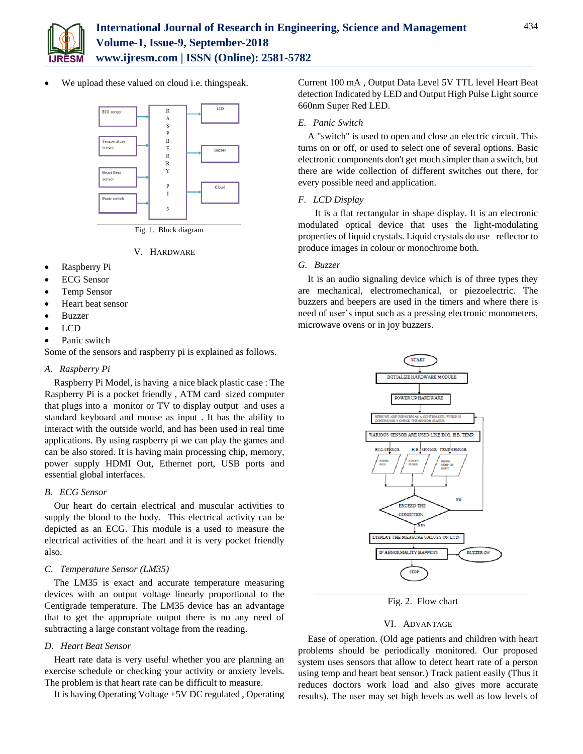

We upload these valued on cloud i.e. thingspeak.



Fig. 1. Block diagram

# V. HARDWARE

- Raspberry Pi
- ECG Sensor
- Temp Sensor
- Heart beat sensor
- Buzzer
- $\bullet$  LCD
- Panic switch

Some of the sensors and raspberry pi is explained as follows.

## *A. Raspberry Pi*

Raspberry Pi Model, is having a nice black plastic case : The Raspberry Pi is a pocket friendly , ATM card sized computer that plugs into a monitor or TV to display output and uses a standard keyboard and mouse as input . It has the ability to interact with the outside world, and has been used in real time applications. By using raspberry pi we can play the games and can be also stored. It is having main processing chip, memory, power supply HDMI Out, Ethernet port, USB ports and essential global interfaces.

# *B. ECG Sensor*

Our heart do certain electrical and muscular activities to supply the blood to the body. This electrical activity can be depicted as an ECG. This module is a used to measure the electrical activities of the heart and it is very pocket friendly also.

# *C. Temperature Sensor (LM35)*

The LM35 is exact and accurate temperature measuring devices with an output voltage linearly proportional to the Centigrade temperature. The LM35 device has an advantage that to get the appropriate output there is no any need of subtracting a large constant voltage from the reading.

## *D. Heart Beat Sensor*

Heart rate data is very useful whether you are planning an exercise schedule or checking your activity or anxiety levels. The problem is that heart rate can be difficult to measure.

It is having Operating Voltage +5V DC regulated , Operating

Current 100 mA , Output Data Level 5V TTL level Heart Beat detection Indicated by LED and Output High Pulse Light source 660nm Super Red LED.

## *E. Panic Switch*

A "switch" is used to open and close an electric circuit. This turns on or off, or used to select one of several options. Basic electronic components don't get much simpler than a switch, but there are wide collection of different switches out there, for every possible need and application.

# *F. LCD Display*

 It is a flat rectangular in shape display. It is an electronic modulated optical device that uses the light-modulating properties of liquid crystals. Liquid crystals do use reflector to produce images in colour or monochrome both.

# *G. Buzzer*

It is an audio signaling device which is of three types they are mechanical, electromechanical, or piezoelectric. The buzzers and beepers are used in the timers and where there is need of user's input such as a pressing electronic monometers, microwave ovens or in joy buzzers.



Fig. 2. Flow chart

# VI. ADVANTAGE

Ease of operation. (Old age patients and children with heart problems should be periodically monitored. Our proposed system uses sensors that allow to detect heart rate of a person using temp and heart beat sensor.) Track patient easily (Thus it reduces doctors work load and also gives more accurate results). The user may set high levels as well as low levels of